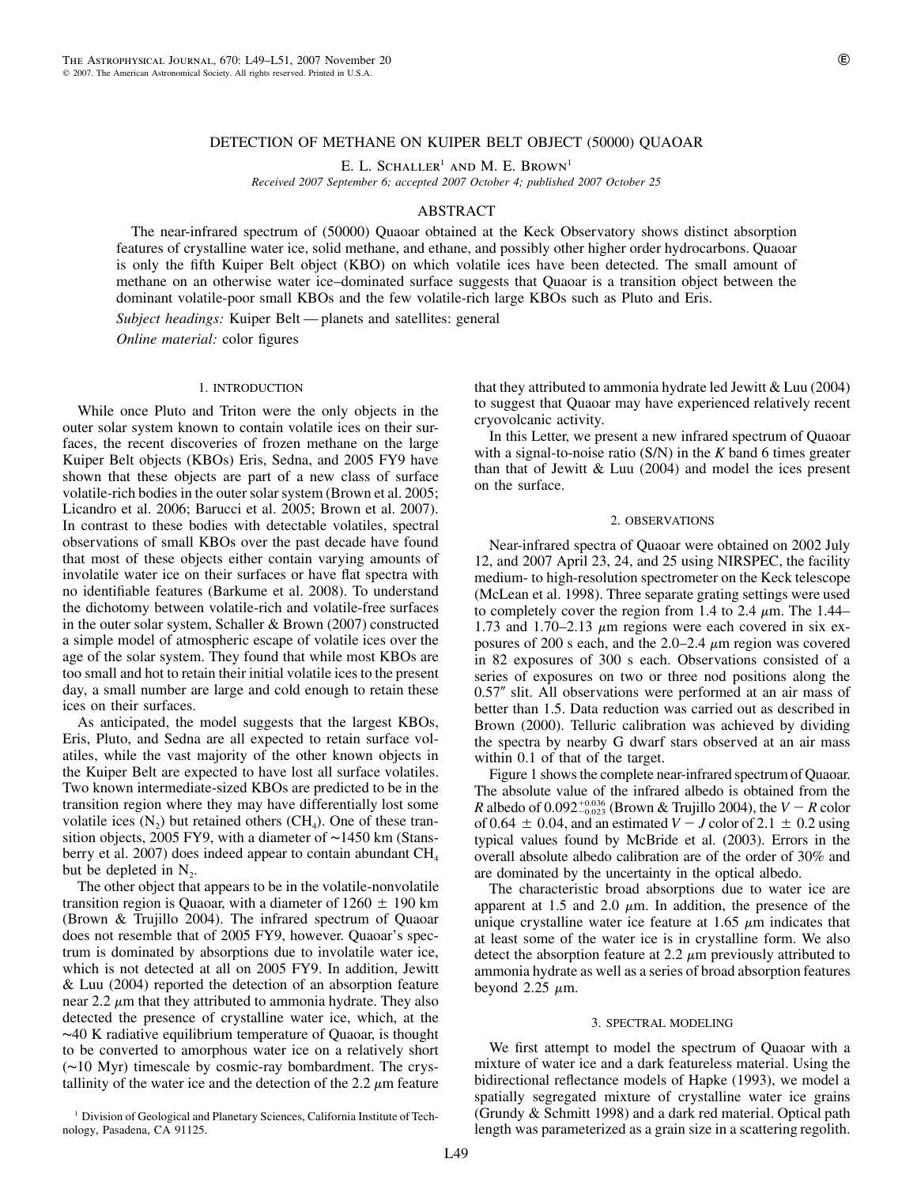## DETECTION OF METHANE ON KUIPER BELT OBJECT (50000) QUAOAR

E. L. SCHALLER<sup>1</sup> AND M. E. BROWN<sup>1</sup>

*Received 2007 September 6; accepted 2007 October 4; published 2007 October 25*

# ABSTRACT

The near-infrared spectrum of (50000) Quaoar obtained at the Keck Observatory shows distinct absorption features of crystalline water ice, solid methane, and ethane, and possibly other higher order hydrocarbons. Quaoar is only the fifth Kuiper Belt object (KBO) on which volatile ices have been detected. The small amount of methane on an otherwise water ice–dominated surface suggests that Quaoar is a transition object between the dominant volatile-poor small KBOs and the few volatile-rich large KBOs such as Pluto and Eris.

*Subject headings:* Kuiper Belt — planets and satellites: general

*Online material:* color figures

## 1. INTRODUCTION

While once Pluto and Triton were the only objects in the outer solar system known to contain volatile ices on their surfaces, the recent discoveries of frozen methane on the large Kuiper Belt objects (KBOs) Eris, Sedna, and 2005 FY9 have shown that these objects are part of a new class of surface volatile-rich bodies in the outer solar system (Brown et al. 2005; Licandro et al. 2006; Barucci et al. 2005; Brown et al. 2007). In contrast to these bodies with detectable volatiles, spectral observations of small KBOs over the past decade have found that most of these objects either contain varying amounts of involatile water ice on their surfaces or have flat spectra with no identifiable features (Barkume et al. 2008). To understand the dichotomy between volatile-rich and volatile-free surfaces in the outer solar system, Schaller & Brown (2007) constructed a simple model of atmospheric escape of volatile ices over the age of the solar system. They found that while most KBOs are too small and hot to retain their initial volatile ices to the present day, a small number are large and cold enough to retain these ices on their surfaces.

As anticipated, the model suggests that the largest KBOs, Eris, Pluto, and Sedna are all expected to retain surface volatiles, while the vast majority of the other known objects in the Kuiper Belt are expected to have lost all surface volatiles. Two known intermediate-sized KBOs are predicted to be in the transition region where they may have differentially lost some volatile ices  $(N_2)$  but retained others  $(CH_4)$ . One of these transition objects, 2005 FY9, with a diameter of ∼1450 km (Stansberry et al. 2007) does indeed appear to contain abundant  $CH<sub>4</sub>$ but be depleted in  $N_{2}$ .

The other object that appears to be in the volatile-nonvolatile transition region is Quaoar, with a diameter of  $1260 \pm 190$  km (Brown & Trujillo 2004). The infrared spectrum of Quaoar does not resemble that of 2005 FY9, however. Quaoar's spectrum is dominated by absorptions due to involatile water ice, which is not detected at all on 2005 FY9. In addition, Jewitt & Luu (2004) reported the detection of an absorption feature near 2.2  $\mu$ m that they attributed to ammonia hydrate. They also detected the presence of crystalline water ice, which, at the ∼40 K radiative equilibrium temperature of Quaoar, is thought to be converted to amorphous water ice on a relatively short (∼10 Myr) timescale by cosmic-ray bombardment. The crystallinity of the water ice and the detection of the 2.2  $\mu$ m feature

<sup>1</sup> Division of Geological and Planetary Sciences, California Institute of Technology, Pasadena, CA 91125.

that they attributed to ammonia hydrate led Jewitt  $& Luu (2004)$ to suggest that Quaoar may have experienced relatively recent cryovolcanic activity.

In this Letter, we present a new infrared spectrum of Quaoar with a signal-to-noise ratio (S/N) in the *K* band 6 times greater than that of Jewitt & Luu (2004) and model the ices present on the surface.

### 2. OBSERVATIONS

Near-infrared spectra of Quaoar were obtained on 2002 July 12, and 2007 April 23, 24, and 25 using NIRSPEC, the facility medium- to high-resolution spectrometer on the Keck telescope (McLean et al. 1998). Three separate grating settings were used to completely cover the region from 1.4 to 2.4  $\mu$ m. The 1.44– 1.73 and 1.70–2.13  $\mu$ m regions were each covered in six exposures of 200 s each, and the 2.0–2.4  $\mu$ m region was covered in 82 exposures of 300 s each. Observations consisted of a series of exposures on two or three nod positions along the 0.57" slit. All observations were performed at an air mass of better than 1.5. Data reduction was carried out as described in Brown (2000). Telluric calibration was achieved by dividing the spectra by nearby G dwarf stars observed at an air mass within 0.1 of that of the target.

Figure 1 shows the complete near-infrared spectrum of Quaoar. The absolute value of the infrared albedo is obtained from the *R* albedo of  $0.092^{+0.036}_{-0.023}$  (Brown & Trujillo 2004), the  $V - R$  color of 0.64  $\pm$  0.04, and an estimated  $V - J$  color of 2.1  $\pm$  0.2 using typical values found by McBride et al. (2003). Errors in the overall absolute albedo calibration are of the order of 30% and are dominated by the uncertainty in the optical albedo.

The characteristic broad absorptions due to water ice are apparent at 1.5 and 2.0  $\mu$ m. In addition, the presence of the unique crystalline water ice feature at 1.65  $\mu$ m indicates that at least some of the water ice is in crystalline form. We also detect the absorption feature at 2.2  $\mu$ m previously attributed to ammonia hydrate as well as a series of broad absorption features beyond 2.25  $\mu$ m.

#### 3. SPECTRAL MODELING

We first attempt to model the spectrum of Quaoar with a mixture of water ice and a dark featureless material. Using the bidirectional reflectance models of Hapke (1993), we model a spatially segregated mixture of crystalline water ice grains (Grundy & Schmitt 1998) and a dark red material. Optical path length was parameterized as a grain size in a scattering regolith.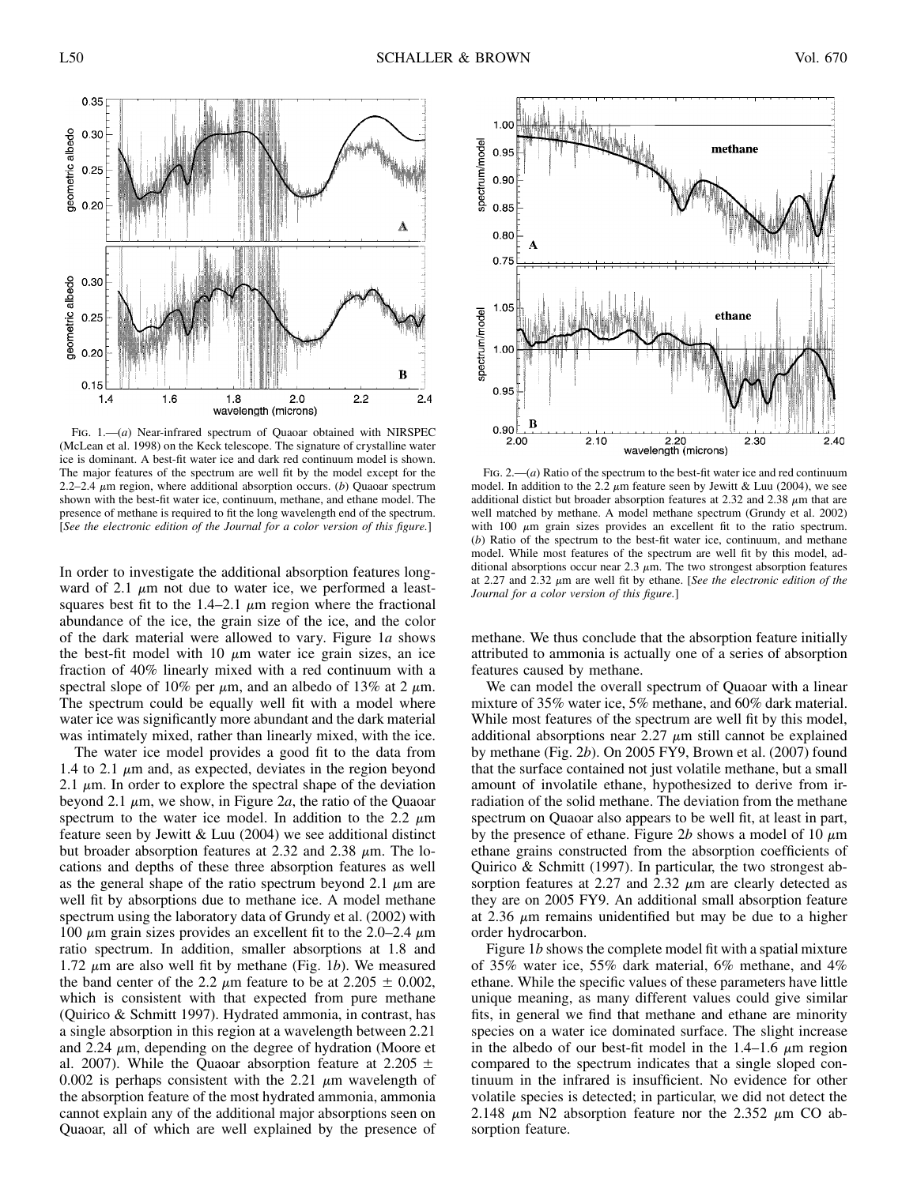

FIG. 1.—(*a*) Near-infrared spectrum of Quaoar obtained with NIRSPEC (McLean et al. 1998) on the Keck telescope. The signature of crystalline water ice is dominant. A best-fit water ice and dark red continuum model is shown. The major features of the spectrum are well fit by the model except for the 2.2–2.4  $\mu$ m region, where additional absorption occurs. (*b*) Quaoar spectrum shown with the best-fit water ice, continuum, methane, and ethane model. The presence of methane is required to fit the long wavelength end of the spectrum. [*See the electronic edition of the Journal for a color version of this figure.*]

In order to investigate the additional absorption features longward of 2.1  $\mu$ m not due to water ice, we performed a leastsquares best fit to the 1.4–2.1  $\mu$ m region where the fractional abundance of the ice, the grain size of the ice, and the color of the dark material were allowed to vary. Figure 1*a* shows the best-fit model with 10  $\mu$ m water ice grain sizes, an ice fraction of 40% linearly mixed with a red continuum with a spectral slope of 10% per  $\mu$ m, and an albedo of 13% at 2  $\mu$ m. The spectrum could be equally well fit with a model where water ice was significantly more abundant and the dark material was intimately mixed, rather than linearly mixed, with the ice.

The water ice model provides a good fit to the data from 1.4 to 2.1  $\mu$ m and, as expected, deviates in the region beyond 2.1  $\mu$ m. In order to explore the spectral shape of the deviation beyond 2.1  $\mu$ m, we show, in Figure 2*a*, the ratio of the Quaoar spectrum to the water ice model. In addition to the 2.2  $\mu$ m feature seen by Jewitt & Luu (2004) we see additional distinct but broader absorption features at 2.32 and 2.38  $\mu$ m. The locations and depths of these three absorption features as well as the general shape of the ratio spectrum beyond 2.1  $\mu$ m are well fit by absorptions due to methane ice. A model methane spectrum using the laboratory data of Grundy et al. (2002) with 100  $\mu$ m grain sizes provides an excellent fit to the 2.0–2.4  $\mu$ m ratio spectrum. In addition, smaller absorptions at 1.8 and 1.72  $\mu$ m are also well fit by methane (Fig. 1*b*). We measured the band center of the 2.2  $\mu$ m feature to be at 2.205  $\pm$  0.002, which is consistent with that expected from pure methane (Quirico & Schmitt 1997). Hydrated ammonia, in contrast, has a single absorption in this region at a wavelength between 2.21 and 2.24  $\mu$ m, depending on the degree of hydration (Moore et al. 2007). While the Quaoar absorption feature at 2.205  $\pm$ 0.002 is perhaps consistent with the 2.21  $\mu$ m wavelength of the absorption feature of the most hydrated ammonia, ammonia cannot explain any of the additional major absorptions seen on Quaoar, all of which are well explained by the presence of



FIG. 2.— $(a)$  Ratio of the spectrum to the best-fit water ice and red continuum model. In addition to the 2.2  $\mu$ m feature seen by Jewitt & Luu (2004), we see additional distict but broader absorption features at 2.32 and 2.38  $\mu$ m that are well matched by methane. A model methane spectrum (Grundy et al. 2002) with 100  $\mu$ m grain sizes provides an excellent fit to the ratio spectrum. (*b*) Ratio of the spectrum to the best-fit water ice, continuum, and methane model. While most features of the spectrum are well fit by this model, additional absorptions occur near  $2.3 \mu$ m. The two strongest absorption features at 2.27 and 2.32 mm are well fit by ethane. [*See the electronic edition of the Journal for a color version of this figure.*]

methane. We thus conclude that the absorption feature initially attributed to ammonia is actually one of a series of absorption features caused by methane.

We can model the overall spectrum of Quaoar with a linear mixture of 35% water ice, 5% methane, and 60% dark material. While most features of the spectrum are well fit by this model, additional absorptions near 2.27  $\mu$ m still cannot be explained by methane (Fig. 2*b*). On 2005 FY9, Brown et al. (2007) found that the surface contained not just volatile methane, but a small amount of involatile ethane, hypothesized to derive from irradiation of the solid methane. The deviation from the methane spectrum on Quaoar also appears to be well fit, at least in part, by the presence of ethane. Figure 2b shows a model of 10  $\mu$ m ethane grains constructed from the absorption coefficients of Quirico & Schmitt (1997). In particular, the two strongest absorption features at 2.27 and 2.32  $\mu$ m are clearly detected as they are on 2005 FY9. An additional small absorption feature at 2.36  $\mu$ m remains unidentified but may be due to a higher order hydrocarbon.

Figure 1*b* shows the complete model fit with a spatial mixture of 35% water ice, 55% dark material, 6% methane, and 4% ethane. While the specific values of these parameters have little unique meaning, as many different values could give similar fits, in general we find that methane and ethane are minority species on a water ice dominated surface. The slight increase in the albedo of our best-fit model in the 1.4–1.6  $\mu$ m region compared to the spectrum indicates that a single sloped continuum in the infrared is insufficient. No evidence for other volatile species is detected; in particular, we did not detect the 2.148  $\mu$ m N2 absorption feature nor the 2.352  $\mu$ m CO absorption feature.